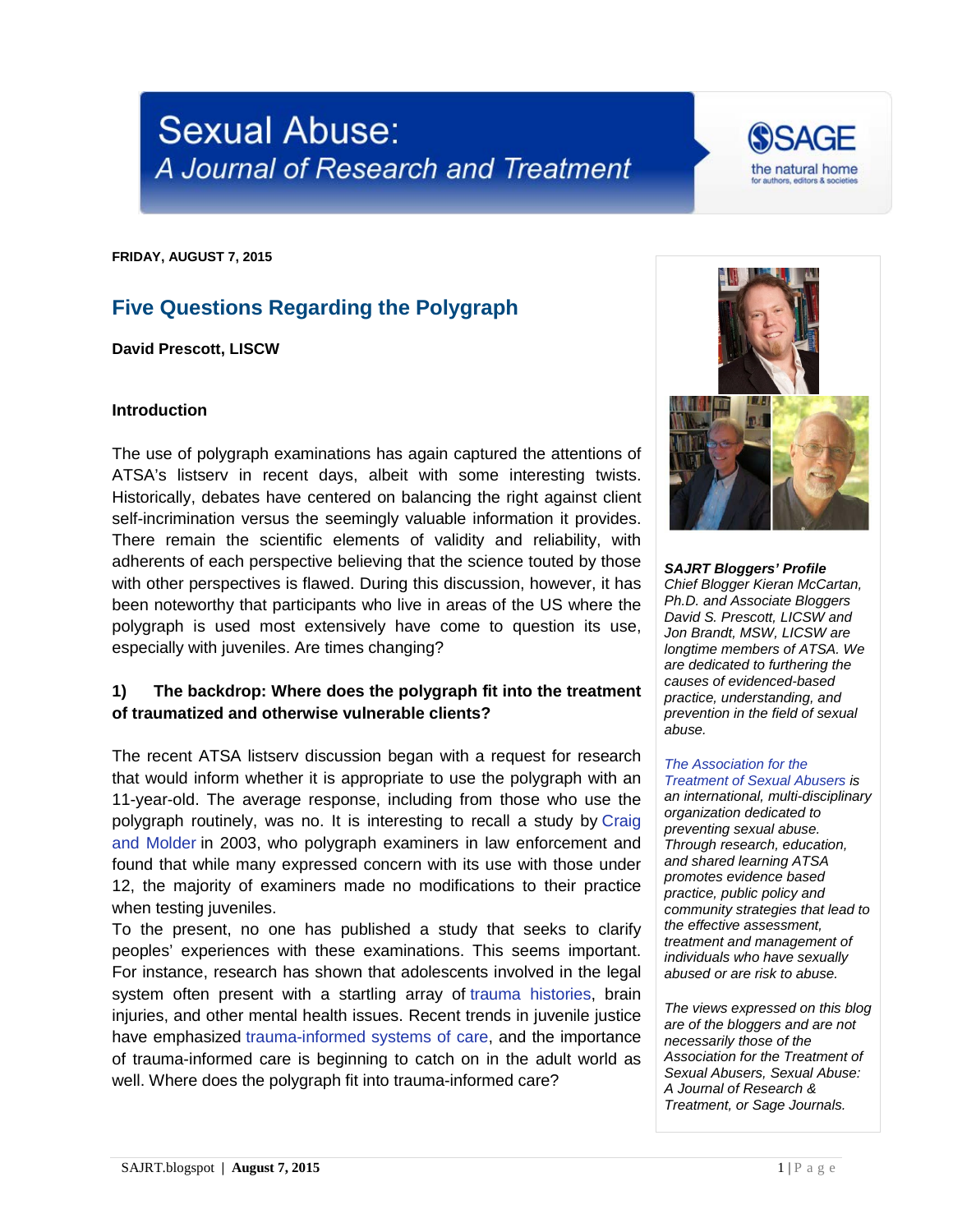**Sexual Abuse:** A Journal of Research and Treatment

**FRIDAY, AUGUST 7, 2015**

## **Five Questions Regarding the Polygraph**

**David Prescott, LISCW**

#### **Introduction**

The use of polygraph examinations has again captured the attentions of ATSA's listserv in recent days, albeit with some interesting twists. Historically, debates have centered on balancing the right against client self-incrimination versus the seemingly valuable information it provides. There remain the scientific elements of validity and reliability, with adherents of each perspective believing that the science touted by those with other perspectives is flawed. During this discussion, however, it has been noteworthy that participants who live in areas of the US where the polygraph is used most extensively have come to question its use, especially with juveniles. Are times changing?

#### **1) The backdrop: Where does the polygraph fit into the treatment of traumatized and otherwise vulnerable clients?**

The recent ATSA listserv discussion began with a request for research that would inform whether it is appropriate to use the polygraph with an 11-year-old. The average response, including from those who use the polygraph routinely, was no. It is interesting to recall a study by [Craig](http://truth.charleshontsphd.com/JCAAWP/2003_63-74/2003_63-74.pdf)  [and Molder](http://truth.charleshontsphd.com/JCAAWP/2003_63-74/2003_63-74.pdf) in 2003, who polygraph examiners in law enforcement and found that while many expressed concern with its use with those under 12, the majority of examiners made no modifications to their practice when testing juveniles.

To the present, no one has published a study that seeks to clarify peoples' experiences with these examinations. This seems important. For instance, research has shown that adolescents involved in the legal system often present with a startling array of trauma histories, brain injuries, and other mental health issues. Recent [trends in juvenile](http://www.ncmhjj.com/wp-content/uploads/2013/10/2007_Trauma-Among-Youth-in-the-Juvenile-Justice-System.pdf) justice have emphasized trauma-informed systems of care, and the importance of trauma-inform[ed care is beginning to catch on in](http://www.traumacenter.org/products/pdf_files/Trauma%20Services%20in%20Residential%20Juvenile%20Justice%20Settings_Ford_Blaustein.pdf) the adult world as well. Where does the polygraph fit into trauma-informed care?

*SAJRT Bloggers' Profile Chief Blogger Kieran McCartan, Ph.D. and Associate Bloggers David S. Prescott, LICSW and Jon Brandt, MSW, LICSW are longtime members of ATSA. We are dedicated to furthering the causes of evidenced-based practice, understanding, and prevention in the field of sexual abuse.*

# *[The Association for the](http://atsa.com/)*

*[Treatment of Sexual Abusers](http://atsa.com/) is an international, multi-disciplinary organization dedicated to preventing sexual abuse. Through research, education, and shared learning ATSA promotes evidence based practice, public policy and community strategies that lead to the effective assessment, treatment and management of individuals who have sexually abused or are risk to abuse.* 

*The views expressed on this blog are of the bloggers and are not necessarily those of the Association for the Treatment of Sexual Abusers, Sexual Abuse: A Journal of Research & Treatment, or Sage Journals.*



SSAGE

the natural home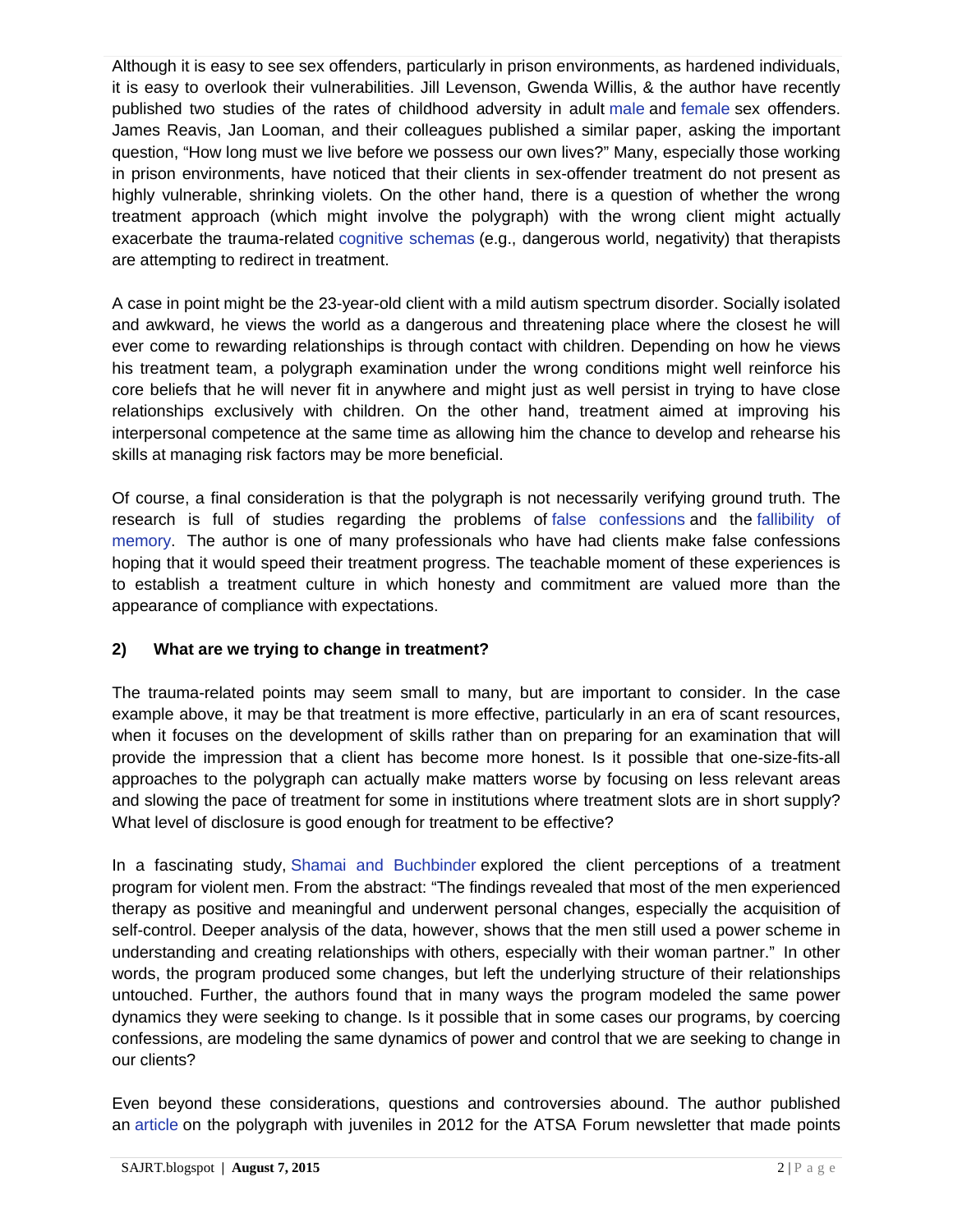Although it is easy to see sex offenders, particularly in prison environments, as hardened individuals, it is easy to overlook their vulnerabilities. Jill Levenson, Gwenda Willis, & the author have recently published two studies of the rates of childhood adversity in adult [male](http://www.ncbi.nlm.nih.gov/pubmed/24872347) and [female](http://sax.sagepub.com/content/early/2014/09/09/1079063214544332.abstract) sex offenders. James Reavis, Jan Looman, and their colleagues published a similar paper, asking the important question, "How long must we live before we possess our own lives?" Many, especially those working in prison environments, have noticed that their clients in sex-offender treatment do not present as highly vulnerable, shrinking violets. On the other hand, there is a question of whether the wrong treatment approach (which might involve the polygraph) with the wrong client might actually exacerbate the trauma-related [cognitive schemas](http://www.cognitivetherapy.me.uk/schema_therapy.htm) (e.g., dangerous world, negativity) that therapists are attempting to redirect in treatment.

A case in point might be the 23-year-old client with a mild autism spectrum disorder. Socially isolated and awkward, he views the world as a dangerous and threatening place where the closest he will ever come to rewarding relationships is through contact with children. Depending on how he views his treatment team, a polygraph examination under the wrong conditions might well reinforce his core beliefs that he will never fit in anywhere and might just as well persist in trying to have close relationships exclusively with children. On the other hand, treatment aimed at improving his interpersonal competence at the same time as allowing him the chance to develop and rehearse his skills at managing risk factors may be more beneficial.

Of course, a final consideration is that the polygraph is not necessarily verifying ground truth. The research is full of studies regarding the problems of [false confessions](http://www.ncbi.nlm.nih.gov/pubmed/19767499) and the [fallibility of](http://www.ted.com/talks/elizabeth_loftus_the_fiction_of_memory?language=en)  [memory.](http://www.ted.com/talks/elizabeth_loftus_the_fiction_of_memory?language=en) The author is one of many professionals who have had clients make false confessions hoping that it would speed their treatment progress. The teachable moment of these experiences is to establish a treatment culture in which honesty and commitment are valued more than the appearance of compliance with expectations.

## **2) What are we trying to change in treatment?**

The trauma-related points may seem small to many, but are important to consider. In the case example above, it may be that treatment is more effective, particularly in an era of scant resources, when it focuses on the development of skills rather than on preparing for an examination that will provide the impression that a client has become more honest. Is it possible that one-size-fits-all approaches to the polygraph can actually make matters worse by focusing on less relevant areas and slowing the pace of treatment for some in institutions where treatment slots are in short supply? What level of disclosure is good enough for treatment to be effective?

In a fascinating study, [Shamai and Buchbinder](http://jiv.sagepub.com/content/25/7/1338.abstract) explored the client perceptions of a treatment program for violent men. From the abstract: "The findings revealed that most of the men experienced therapy as positive and meaningful and underwent personal changes, especially the acquisition of self-control. Deeper analysis of the data, however, shows that the men still used a power scheme in understanding and creating relationships with others, especially with their woman partner." In other words, the program produced some changes, but left the underlying structure of their relationships untouched. Further, the authors found that in many ways the program modeled the same power dynamics they were seeking to change. Is it possible that in some cases our programs, by coercing confessions, are modeling the same dynamics of power and control that we are seeking to change in our clients?

Even beyond these considerations, questions and controversies abound. The author published an [article](http://www.davidprescott.net/pub_36.pdf) on the polygraph with juveniles in 2012 for the ATSA Forum newsletter that made points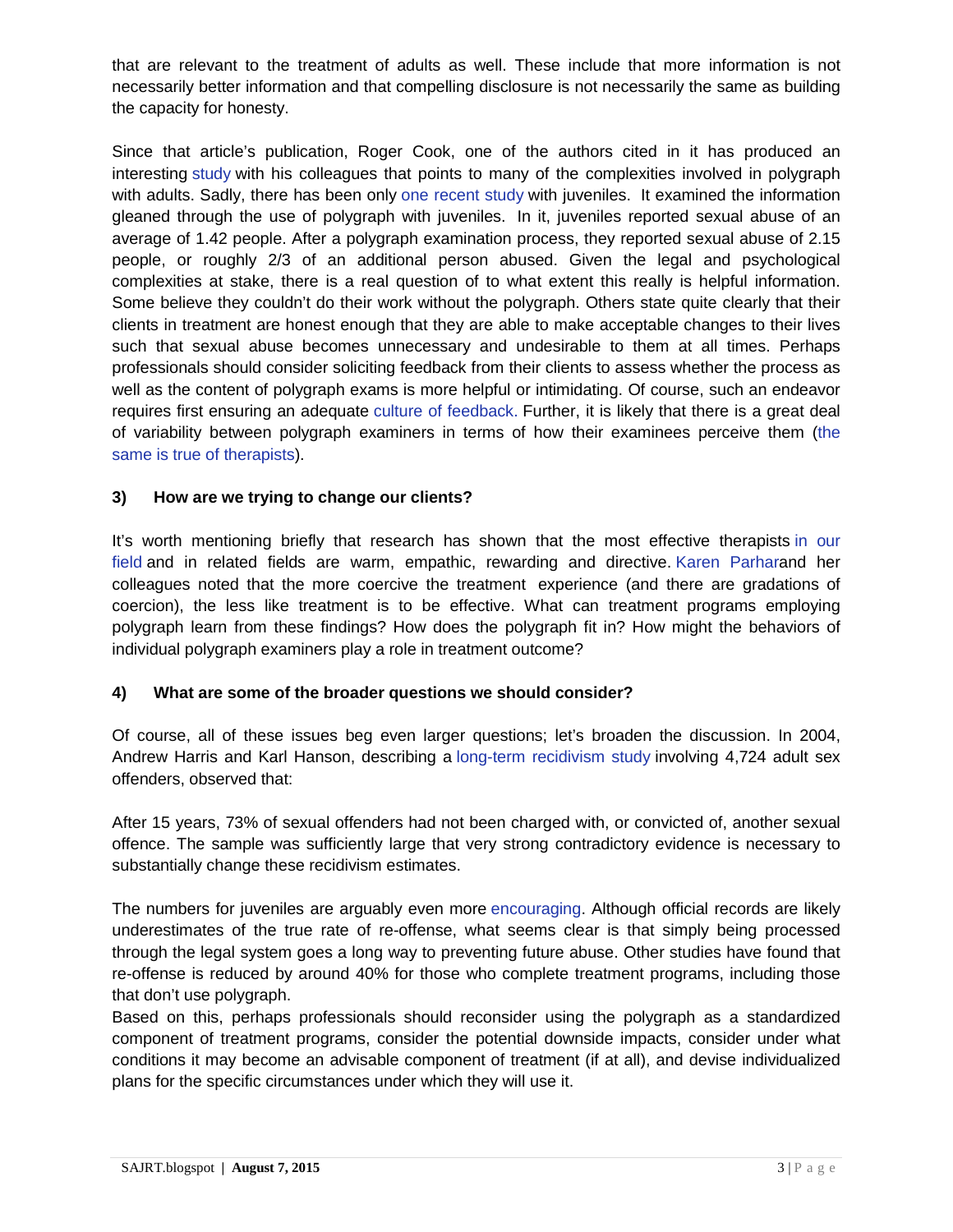that are relevant to the treatment of adults as well. These include that more information is not necessarily better information and that compelling disclosure is not necessarily the same as building the capacity for honesty.

Since that article's publication, Roger Cook, one of the authors cited in it has produced an interesting [study](http://scholarworks.waldenu.edu/cgi/viewcontent.cgi?article=1050&context=jsc) with his colleagues that points to many of the complexities involved in polygraph with adults. Sadly, there has been only [one recent study](http://www.journalofjuvjustice.org/jojj0102/article05.htm) with juveniles. It examined the information gleaned through the use of polygraph with juveniles. In it, juveniles reported sexual abuse of an average of 1.42 people. After a polygraph examination process, they reported sexual abuse of 2.15 people, or roughly 2/3 of an additional person abused. Given the legal and psychological complexities at stake, there is a real question of to what extent this really is helpful information. Some believe they couldn't do their work without the polygraph. Others state quite clearly that their clients in treatment are honest enough that they are able to make acceptable changes to their lives such that sexual abuse becomes unnecessary and undesirable to them at all times. Perhaps professionals should consider soliciting feedback from their clients to assess whether the process as well as the content of polygraph exams is more helpful or intimidating. Of course, such an endeavor requires first ensuring an adequate [culture of feedback.](http://sajrt.blogspot.com/2015/03/the-emerging-use-of-feedback-informed.html) Further, it is likely that there is a great deal of variability between polygraph examiners in terms of how their examinees perceive them [\(the](http://www.ncbi.nlm.nih.gov/pubmed/22663902)  [same is true of therapists\)](http://www.ncbi.nlm.nih.gov/pubmed/22663902).

## **3) How are we trying to change our clients?**

It's worth mentioning briefly that research has shown that the most effective therapists [in our](http://sax.sagepub.com/content/17/2/109.short)  [field](http://sax.sagepub.com/content/17/2/109.short) and in related fields are warm, empathic, rewarding and directive. [Karen Parhara](http://studysites.sagepub.com/stohrstudy/articles/05/Parhar.pdf)nd her colleagues noted that the more coercive the treatment experience (and there are gradations of coercion), the less like treatment is to be effective. What can treatment programs employing polygraph learn from these findings? How does the polygraph fit in? How might the behaviors of individual polygraph examiners play a role in treatment outcome?

## **4) What are some of the broader questions we should consider?**

Of course, all of these issues beg even larger questions; let's broaden the discussion. In 2004, Andrew Harris and Karl Hanson, describing a [long-term recidivism study](http://www.static99.org/pdfdocs/harrisandhanson2004simpleq.pdf) involving 4,724 adult sex offenders, observed that:

After 15 years, 73% of sexual offenders had not been charged with, or convicted of, another sexual offence. The sample was sufficiently large that very strong contradictory evidence is necessary to substantially change these recidivism estimates.

The numbers for juveniles are arguably even more [encouraging.](http://www.researchgate.net/profile/Michael_Caldwell6/publication/23938950_Study_characteristics_and_recidivism_base_rates_in_juvenile_sex_offender_recidivism/links/54d3aa130cf250179182822e.pdf) Although official records are likely underestimates of the true rate of re-offense, what seems clear is that simply being processed through the legal system goes a long way to preventing future abuse. Other studies have found that re-offense is reduced by around 40% for those who complete treatment programs, including those that don't use polygraph.

Based on this, perhaps professionals should reconsider using the polygraph as a standardized component of treatment programs, consider the potential downside impacts, consider under what conditions it may become an advisable component of treatment (if at all), and devise individualized plans for the specific circumstances under which they will use it.